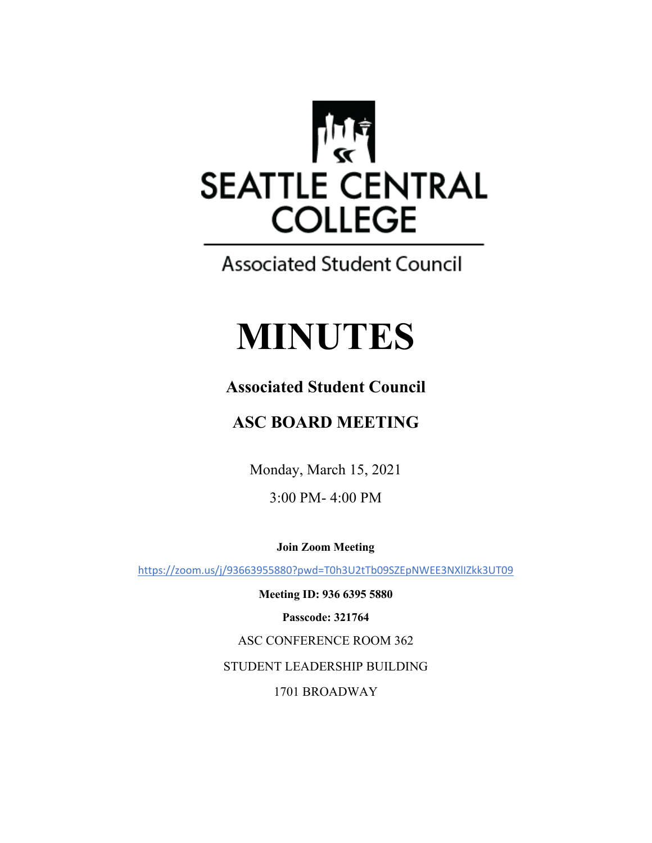

## **Associated Student Council**

# **MINUTES**

## **Associated Student Council**

## **ASC BOARD MEETING**

Monday, March 15, 2021

3:00 PM- 4:00 PM

**Join Zoom Meeting**

https://zoom.us/j/93663955880?pwd=T0h3U2tTb09SZEpNWEE3NXlIZkk3UT09

**Meeting ID: 936 6395 5880 Passcode: 321764** ASC CONFERENCE ROOM 362 STUDENT LEADERSHIP BUILDING 1701 BROADWAY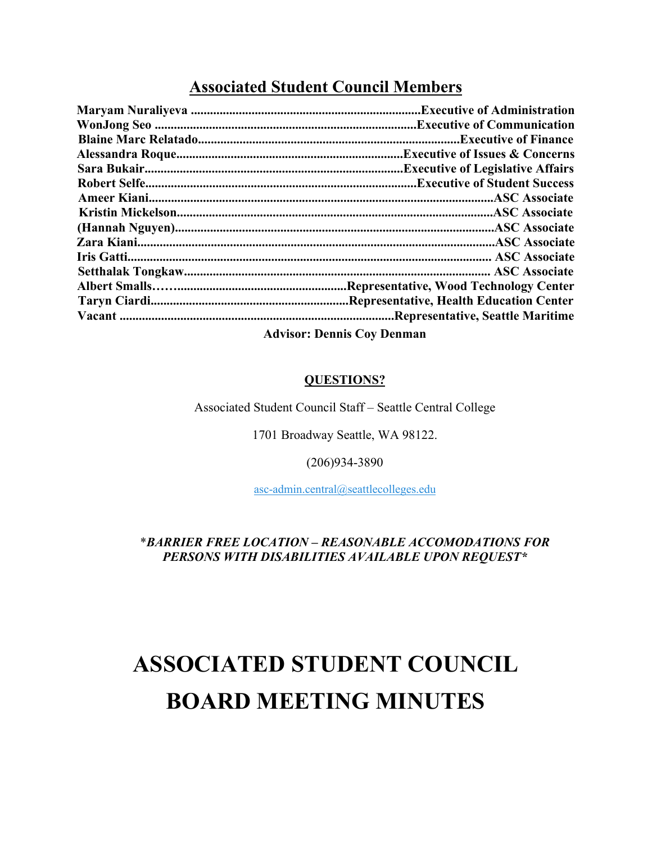### **Associated Student Council Members**

|                                    | <b>Executive of Communication.</b>       |
|------------------------------------|------------------------------------------|
|                                    | <b>.Executive of Finance</b>             |
|                                    | Executive of Issues & Concerns.          |
|                                    | <b>Executive of Legislative Affairs.</b> |
|                                    |                                          |
|                                    |                                          |
|                                    |                                          |
|                                    |                                          |
|                                    |                                          |
|                                    |                                          |
|                                    |                                          |
|                                    |                                          |
|                                    | Representative, Health Education Center  |
|                                    | Representative, Seattle Maritime.        |
| $\lambda$ driver Dennis Cay Dennes |                                          |

**Advisor: Dennis Coy Denman**

#### **QUESTIONS?**

Associated Student Council Staff – Seattle Central College

1701 Broadway Seattle, WA 98122.

#### (206)934-3890

asc-admin.central@seattlecolleges.edu

#### \**BARRIER FREE LOCATION – REASONABLE ACCOMODATIONS FOR PERSONS WITH DISABILITIES AVAILABLE UPON REQUEST\**

## **ASSOCIATED STUDENT COUNCIL BOARD MEETING MINUTES**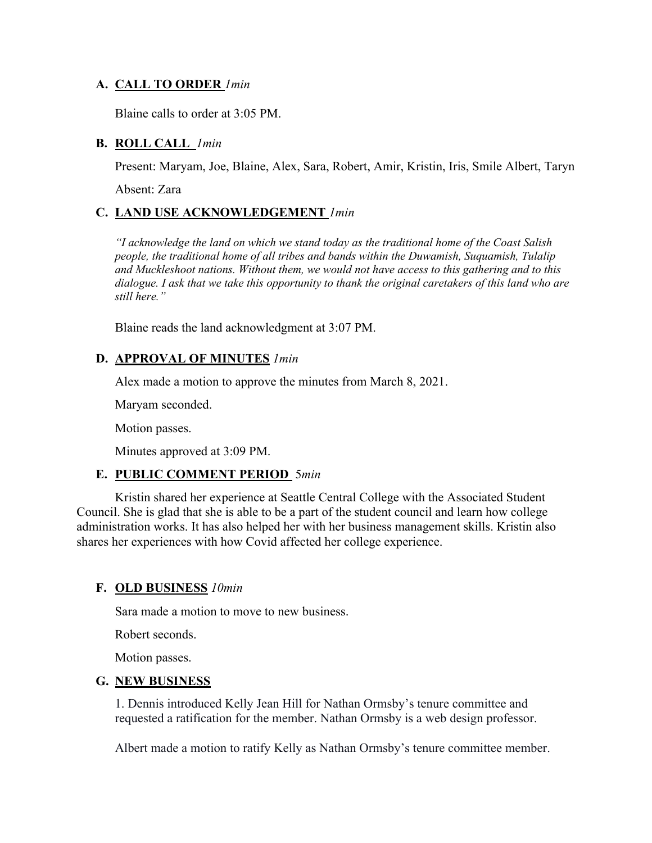#### **A. CALL TO ORDER** *1min*

Blaine calls to order at 3:05 PM.

#### **B. ROLL CALL** *1min*

Present: Maryam, Joe, Blaine, Alex, Sara, Robert, Amir, Kristin, Iris, Smile Albert, Taryn

Absent: Zara

#### **C. LAND USE ACKNOWLEDGEMENT** *1min*

*"I acknowledge the land on which we stand today as the traditional home of the Coast Salish people, the traditional home of all tribes and bands within the Duwamish, Suquamish, Tulalip and Muckleshoot nations. Without them, we would not have access to this gathering and to this dialogue. I ask that we take this opportunity to thank the original caretakers of this land who are still here."*

Blaine reads the land acknowledgment at 3:07 PM.

#### **D. APPROVAL OF MINUTES** *1min*

Alex made a motion to approve the minutes from March 8, 2021.

Maryam seconded.

Motion passes.

Minutes approved at 3:09 PM.

#### **E. PUBLIC COMMENT PERIOD** 5*min*

Kristin shared her experience at Seattle Central College with the Associated Student Council. She is glad that she is able to be a part of the student council and learn how college administration works. It has also helped her with her business management skills. Kristin also shares her experiences with how Covid affected her college experience.

#### **F. OLD BUSINESS** *10min*

Sara made a motion to move to new business.

Robert seconds.

Motion passes.

#### **G. NEW BUSINESS**

1. Dennis introduced Kelly Jean Hill for Nathan Ormsby's tenure committee and requested a ratification for the member. Nathan Ormsby is a web design professor.

Albert made a motion to ratify Kelly as Nathan Ormsby's tenure committee member.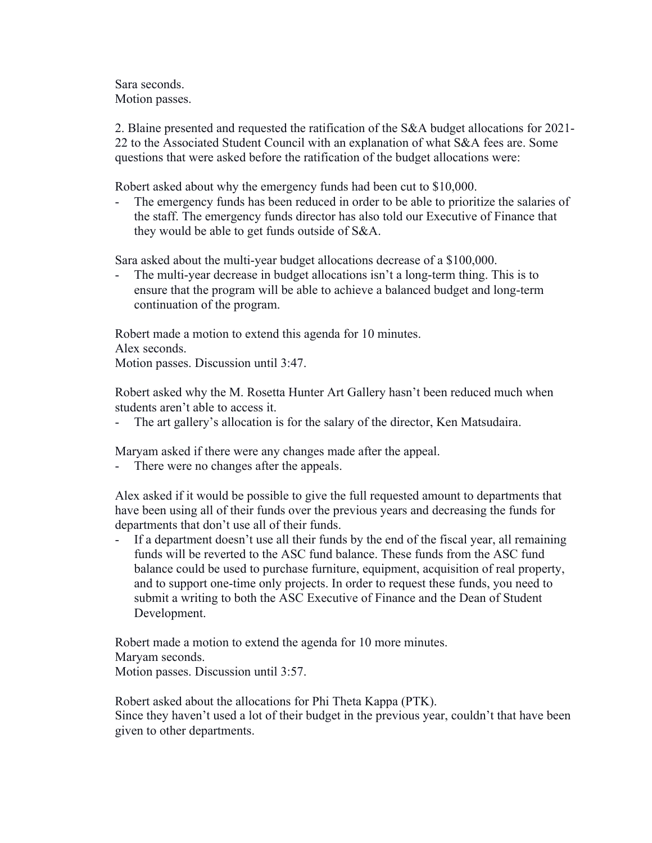Sara seconds. Motion passes.

2. Blaine presented and requested the ratification of the S&A budget allocations for 2021- 22 to the Associated Student Council with an explanation of what S&A fees are. Some questions that were asked before the ratification of the budget allocations were:

Robert asked about why the emergency funds had been cut to \$10,000.

The emergency funds has been reduced in order to be able to prioritize the salaries of the staff. The emergency funds director has also told our Executive of Finance that they would be able to get funds outside of S&A.

Sara asked about the multi-year budget allocations decrease of a \$100,000.

The multi-year decrease in budget allocations isn't a long-term thing. This is to ensure that the program will be able to achieve a balanced budget and long-term continuation of the program.

Robert made a motion to extend this agenda for 10 minutes. Alex seconds. Motion passes. Discussion until 3:47.

Robert asked why the M. Rosetta Hunter Art Gallery hasn't been reduced much when students aren't able to access it.

The art gallery's allocation is for the salary of the director, Ken Matsudaira.

Maryam asked if there were any changes made after the appeal.

- There were no changes after the appeals.

Alex asked if it would be possible to give the full requested amount to departments that have been using all of their funds over the previous years and decreasing the funds for departments that don't use all of their funds.

- If a department doesn't use all their funds by the end of the fiscal year, all remaining funds will be reverted to the ASC fund balance. These funds from the ASC fund balance could be used to purchase furniture, equipment, acquisition of real property, and to support one-time only projects. In order to request these funds, you need to submit a writing to both the ASC Executive of Finance and the Dean of Student Development.

Robert made a motion to extend the agenda for 10 more minutes. Maryam seconds. Motion passes. Discussion until 3:57.

Robert asked about the allocations for Phi Theta Kappa (PTK). Since they haven't used a lot of their budget in the previous year, couldn't that have been given to other departments.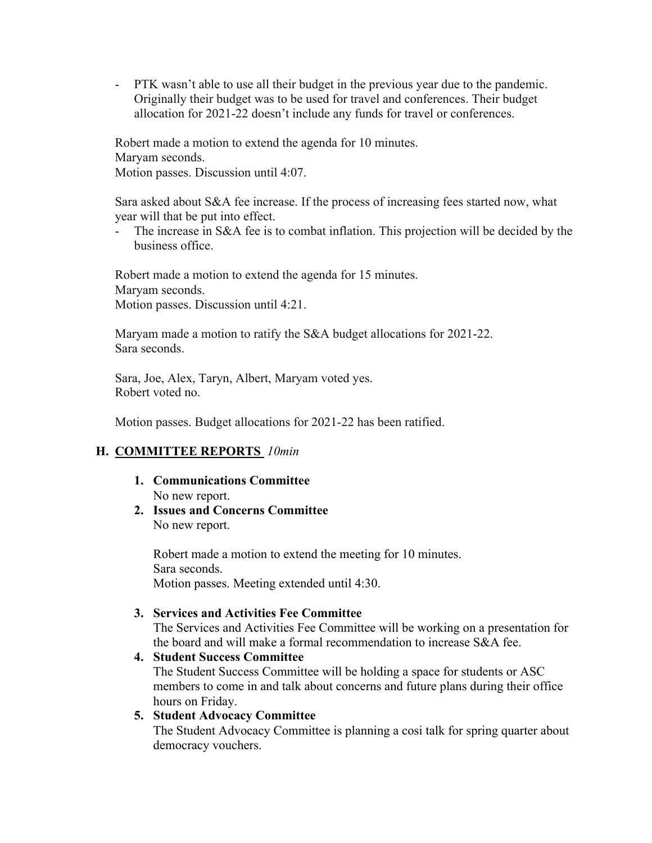- PTK wasn't able to use all their budget in the previous year due to the pandemic. Originally their budget was to be used for travel and conferences. Their budget allocation for 2021-22 doesn't include any funds for travel or conferences.

Robert made a motion to extend the agenda for 10 minutes. Maryam seconds. Motion passes. Discussion until 4:07.

Sara asked about S&A fee increase. If the process of increasing fees started now, what year will that be put into effect.

- The increase in S&A fee is to combat inflation. This projection will be decided by the business office.

Robert made a motion to extend the agenda for 15 minutes. Maryam seconds. Motion passes. Discussion until 4:21.

Maryam made a motion to ratify the S&A budget allocations for 2021-22. Sara seconds.

Sara, Joe, Alex, Taryn, Albert, Maryam voted yes. Robert voted no.

Motion passes. Budget allocations for 2021-22 has been ratified.

#### **H. COMMITTEE REPORTS** *10min*

- **1. Communications Committee** No new report.
- **2. Issues and Concerns Committee** No new report.

Robert made a motion to extend the meeting for 10 minutes. Sara seconds. Motion passes. Meeting extended until 4:30.

- **3. Services and Activities Fee Committee** The Services and Activities Fee Committee will be working on a presentation for the board and will make a formal recommendation to increase S&A fee.
- **4. Student Success Committee** The Student Success Committee will be holding a space for students or ASC members to come in and talk about concerns and future plans during their office hours on Friday. **5. Student Advocacy Committee**

The Student Advocacy Committee is planning a cosi talk for spring quarter about democracy vouchers.